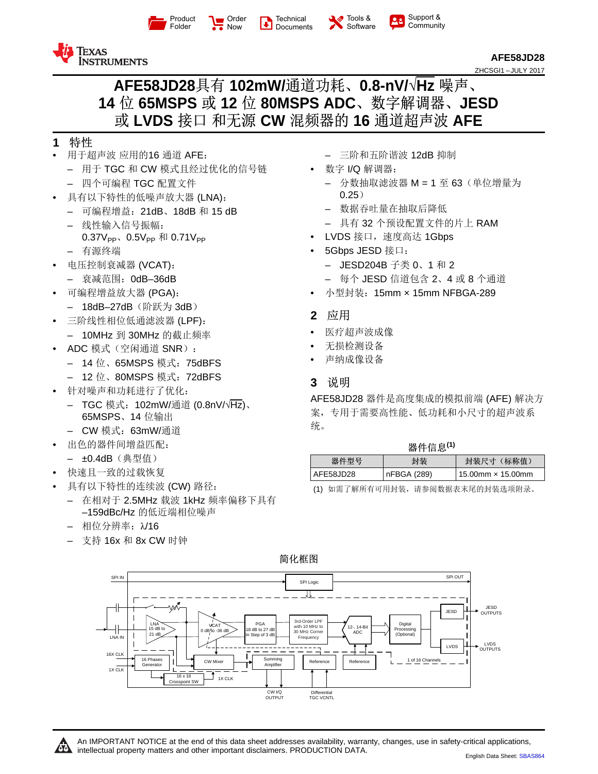

[Order](http://www.ti.com.cn/product/cn/AFE58JD28?dcmp=dsproject&hqs=sandbuy&#samplebuy)  $\frac{1}{2}$  Now





Support &  $22$ **[Community](http://www.ti.com.cn/product/cn/AFE58JD28?dcmp=dsproject&hqs=support&#community)** 



**[AFE58JD28](http://www.ti.com.cn/product/cn/afe58jd28?qgpn=afe58jd28)** ZHCSGI1 –JULY 2017

# **AFE58JD28**具有 **102mW/**通道功耗、**0.8-nV/√Hz** 噪声、 **14** 位 **65MSPS** 或 **12** 位 **80MSPS ADC**、数字解调器、**JESD** 或 **LVDS** 接口 和无源 **CW** 混频器的 **16** 通道超声波 **AFE**

# **1** 特性

- 用于超声波 应用的16 通道 AFE:
	- 用于 TGC 和 CW 模式且经过优化的信号链
	- 四个可编程 TGC 配置文件
- 具有以下特性的低噪声放大器 (LNA):
	- 可编程增益:21dB、18dB 和 15 dB
	- 线性输入信号振幅:
	- $0.37V_{PP}$ 、 $0.5V_{PP}$  和  $0.71V_{PP}$
	- 有源终端
- 电压控制衰减器 (VCAT):
	- 衰减范围:0dB–36dB
- 可编程增益放大器 (PGA):
	- 18dB–27dB(阶跃为 3dB)
- 三阶线性相位低通滤波器 (LPF): – 10MHz 到 30MHz 的截止频率
- ADC 模式(空闲通道 SNR):
	- 14 位、65MSPS 模式:75dBFS
	- 12 位、80MSPS 模式:72dBFS
- 针对噪声和功耗进行了优化:
	- TGC 模式:102mW/通道 (0.8nV/√Hz)、 65MSPS、14 位输出
	- CW 模式:63mW/通道
- 出色的器件间增益匹配:
	- ±0.4dB(典型值)
- 快速且一致的过载恢复
- <span id="page-0-0"></span>具有以下特性的连续波 (CW) 路径:
	- 在相对于 2.5MHz 载波 1kHz 频率偏移下具有 –159dBc/Hz 的低近端相位噪声
	- 相位分辨率:λ/16
	- 支持 16x 和 8x CW 时钟
- 三阶和五阶谐波 12dB 抑制
- 数字 I/Q 解调器:
	- 分数抽取滤波器 M = 1 至 63(单位增量为 0.25)
	- 数据吞吐量在抽取后降低
	- 具有 32 个预设配置文件的片上 RAM
- LVDS 接口,速度高达 1Gbps
- 5Gbps JESD 接口:
	- JESD204B 子类 0、1 和 2
	- 每个 JESD 信道包含 2、4 或 8 个通道
- 小型封装:15mm × 15mm NFBGA-289
- **2** 应用
- 医疗超声波成像
- 无损检测设备
- 声纳成像设备
- **3** 说明

AFE58JD28 器件是高度集成的模拟前端 (AFE) 解决方 案,专用于需要高性能、低功耗和小尺寸的超声波系 统。

| 器件信息(1) |  |  |
|---------|--|--|
|         |  |  |

| 器件型号      | 封装          | 封装尺寸 (标称值)               |
|-----------|-------------|--------------------------|
| AFE58JD28 | nFBGA (289) | 15.00mm $\times$ 15.00mm |
|           |             |                          |

(1) 如需了解所有可用封装,请参阅数据表末尾的封装选项附录。

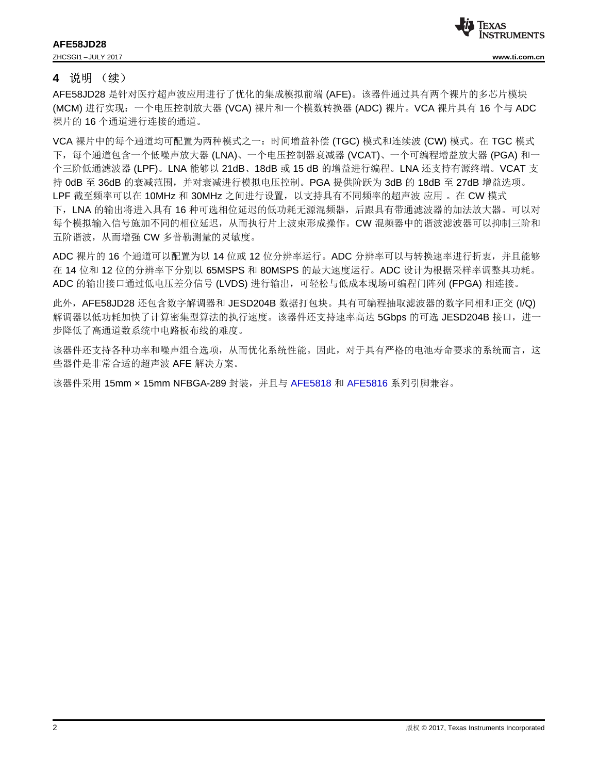

#### **4** 说明 (续)

AFE58JD28 是针对医疗超声波应用进行了优化的集成模拟前端 (AFE)。该器件通过具有两个裸片的多芯片模块 (MCM) 进行实现:一个电压控制放大器 (VCA) 裸片和一个模数转换器 (ADC) 裸片。VCA 裸片具有 16 个与 ADC 裸片的 16 个通道进行连接的通道。

VCA 裸片中的每个通道均可配置为两种模式之一:时间增益补偿 (TGC) 模式和连续波 (CW) 模式。在 TGC 模式 下,每个通道包含一个低噪声放大器 (LNA)、一个电压控制器衰减器 (VCAT)、一个可编程增益放大器 (PGA) 和一 个三阶低通滤波器 (LPF)。LNA 能够以 21dB、18dB 或 15 dB 的增益进行编程。LNA 还支持有源终端。VCAT 支 持 0dB 至 36dB 的衰减范围,并对衰减进行模拟电压控制。PGA 提供阶跃为 3dB 的 18dB 至 27dB 增益选项。 LPF 截至频率可以在 10MHz 和 30MHz 之间进行设置,以支持具有不同频率的超声波 应用 。在 CW 模式 下,LNA 的输出将进入具有 16 种可选相位延迟的低功耗无源混频器,后跟具有带通滤波器的加法放大器。可以对 每个模拟输入信号施加不同的相位延迟,从而执行片上波束形成操作。CW 混频器中的谐波滤波器可以抑制三阶和 五阶谐波,从而增强 CW 多普勒测量的灵敏度。

ADC 裸片的 16 个通道可以配置为以 14 位或 12 位分辨率运行。ADC 分辨率可以与转换速率进行折衷, 并且能够 在 14 位和 12 位的分辨率下分别以 65MSPS 和 80MSPS 的最大速度运行。ADC 设计为根据采样率调整其功耗。 ADC 的输出接口通过低电压差分信号 (LVDS) 进行输出, 可轻松与低成本现场可编程门阵列 (FPGA) 相连接。

此外, AFE58JD28 还包含数字解调器和 JESD204B 数据打包块。具有可编程抽取滤波器的数字同相和正交 (I/Q) 解调器以低功耗加快了计算密集型算法的执行速度。该器件还支持速率高达 5Gbps 的可选 JESD204B 接口,进一 步降低了高通道数系统中电路板布线的难度。

该器件还支持各种功率和噪声组合选项,从而优化系统性能。因此,对于具有严格的电池寿命要求的系统而言,这 些器件是非常合适的超声波 AFE 解决方案。

该器件采用 15mm × 15mm NFBGA-289 封装,并且与 [AFE5818](http://www.ti.com.cn/product/cn/AFE5818) 和 [AFE5816](http://www.ti.com.cn/product/cn/AFE5816) 系列引脚兼容。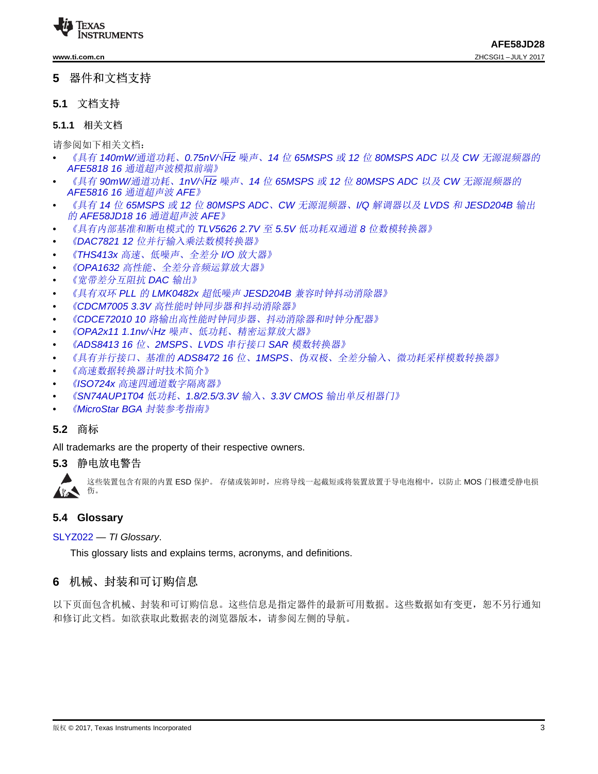

#### **5** 器件和文档支持

#### **5.1** 文档支持

# **5.1.1** 相关文档

请参阅如下相关文档:

- 《具有 *140mW/*通道功耗、*0.75nV/√Hz* 噪声、*14* 位 *65MSPS* 或 *12* 位 *80MSPS ADC* 以及 *CW* [无源混频器的](http://www.ti.com/cn/lit/pdf/SBAS687) *AFE5818 16* [通道超声波模拟前端》](http://www.ti.com/cn/lit/pdf/SBAS687)
- 《具有 *90mW/*通道功耗、*1nV/√Hz* 噪声、*14* 位 *65MSPS* 或 *12* 位 *80MSPS ADC* 以及 *CW* [无源混频器的](http://www.ti.com/cn/lit/pdf/SBAS688) *AFE5816 16* [通道超声波](http://www.ti.com/cn/lit/pdf/SBAS688) *AFE*》
- 《具有 *14* 位 *65MSPS* 或 *12* 位 *80MSPS ADC*、*CW* [无源混频器、](http://www.ti.com/cn/lit/pdf/SBAS735)*I/Q* 解调器以及 *LVDS* 和 *JESD204B* 输出 的 *[AFE58JD18](http://www.ti.com/cn/lit/pdf/SBAS735) 16* 通道超声波 *AFE*》
- [《具有内部基准和断电模式的](http://www.ti.com/cn/lit/pdf/SLAS236) *TLV5626 2.7V* 至 *5.5V* 低功耗双通道 *8* 位数模转换器》
- 《*DAC7821 12* [位并行输入乘法数模转换器》](http://www.ti.com/cn/lit/pdf/SBAS365)
- 《*THS413x* [高速、低噪声、全差分](http://www.ti.com/cn/lit/pdf/SLOS318) *I/O* 放大器》
- 《*OPA1632* [高性能、全差分音频运算放大器》](http://www.ti.com/cn/lit/pdf/SBOS286)
- [《宽带差分互阻抗](http://www.ti.com/cn/lit/pdf/SBAA150) *DAC* 输出》
- 《具有双环 *PLL* 的 *LMK0482x* 超低噪声 *JESD204B* [兼容时钟抖动消除器》](http://www.ti.com/cn/lit/pdf/SNAS605)
- 《*CDCM7005 3.3V* [高性能时钟同步器和抖动消除器》](http://www.ti.com/cn/lit/pdf/SCAS793)
- 《*CDCE72010 10* [路输出高性能时钟同步器、抖动消除器和时钟分配器》](http://www.ti.com/cn/lit/pdf/SCAS858)
- 《*OPA2x11 1.1nv/√Hz* [噪声、低功耗、精密运算放大器》](http://www.ti.com/cn/lit/pdf/SBOS377)
- 《*ADS8413 16* 位、*2MSPS*、*LVDS* 串行接口 *SAR* [模数转换器》](http://www.ti.com/cn/lit/pdf/SLAS490)
- 《具有并行接口、基准的 *ADS8472 16* 位、*1MSPS*[、伪双极、全差分输入、微功耗采样模数转换器》](http://www.ti.com/cn/lit/pdf/SLAS514)
- [《高速数据转换器计时](http://www.ti.com/cn/lit/pdf/SLYT075)技术简介》
- 《*ISO724x* [高速四通道数字隔离器》](http://www.ti.com/cn/lit/pdf/SLLS868)
- 《*SN74AUP1T04* 低功耗、*1.8/2.5/3.3V* 输入、*3.3V CMOS* [输出单反相器门》](http://www.ti.com/cn/lit/pdf/SCES800)
- 《*MicroStar BGA* [封装参考指南》](http://www.ti.com/cn/lit/pdf/SSYZ015)

#### **5.2** 商标

All trademarks are the property of their respective owners.

#### **5.3** 静电放电警告



这些装置包含有限的内置 ESD 保护。 存储或装卸时,应将导线一起截短或将装置放置于导电泡棉中,以防止 MOS 门极遭受静电损

#### **5.4 Glossary**

[SLYZ022](http://www.ti.com/cn/lit/pdf/SLYZ022) — *TI Glossary*.

This glossary lists and explains terms, acronyms, and definitions.

### **6** 机械、封装和可订购信息

以下页面包含机械、封装和可订购信息。这些信息是指定器件的最新可用数据。这些数据如有变更,恕不另行通知 和修订此文档。如欲获取此数据表的浏览器版本,请参阅左侧的导航。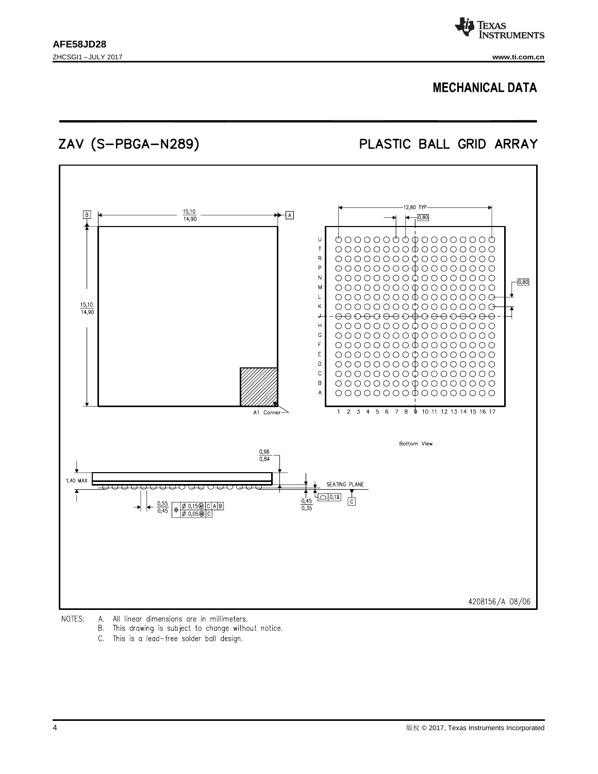

## **MECHANICAL DATA**

ZAV (S-PBGA-N289)

PLASTIC BALL GRID ARRAY



NOTES: All linear dimensions are in millimeters. А.

- В. This drawing is subject to change without notice.
- C. This is a lead-free solder ball design.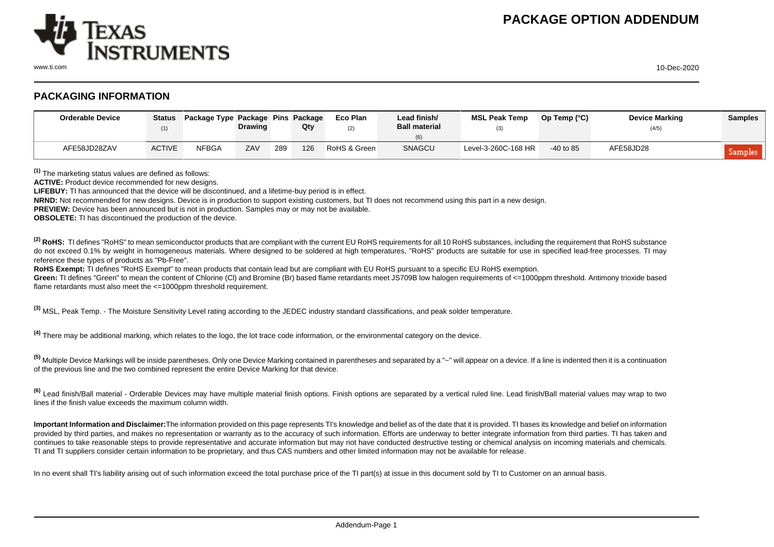

www.ti.com 10-Dec-2020

# **PACKAGING INFORMATION**

| <b>Orderable Device</b> | <b>Status</b><br>(1) | Package Type Package Pins Package | <b>Drawing</b> |     | Qty | Eco Plan<br>(2) | Lead finish/<br><b>Ball material</b> | <b>MSL Peak Temp</b> | Op Temp $(^{\circ}C)$ | <b>Device Marking</b><br>(4/5) | <b>Samples</b> |
|-------------------------|----------------------|-----------------------------------|----------------|-----|-----|-----------------|--------------------------------------|----------------------|-----------------------|--------------------------------|----------------|
| AFE58JD28ZAV            | <b>ACTIVE</b>        | <b>NFBGA</b>                      | ZAV            | 289 | 126 | RoHS & Green    | SNAGCU                               | Level-3-260C-168 HR  | $-40$ to 85           | AFE58JD28                      | Samples        |

**(1)** The marketing status values are defined as follows:

**ACTIVE:** Product device recommended for new designs.

**LIFEBUY:** TI has announced that the device will be discontinued, and a lifetime-buy period is in effect.

**NRND:** Not recommended for new designs. Device is in production to support existing customers, but TI does not recommend using this part in a new design.

**PREVIEW:** Device has been announced but is not in production. Samples may or may not be available.

**OBSOLETE:** TI has discontinued the production of the device.

<sup>(2)</sup> RoHS: TI defines "RoHS" to mean semiconductor products that are compliant with the current EU RoHS requirements for all 10 RoHS substances, including the requirement that RoHS substance do not exceed 0.1% by weight in homogeneous materials. Where designed to be soldered at high temperatures. "RoHS" products are suitable for use in specified lead-free processes. TI may reference these types of products as "Pb-Free".

RoHS Exempt: TI defines "RoHS Exempt" to mean products that contain lead but are compliant with EU RoHS pursuant to a specific EU RoHS exemption.

Green: TI defines "Green" to mean the content of Chlorine (CI) and Bromine (Br) based flame retardants meet JS709B low halogen requirements of <=1000ppm threshold. Antimony trioxide based flame retardants must also meet the <=1000ppm threshold requirement.

**(3)** MSL, Peak Temp. - The Moisture Sensitivity Level rating according to the JEDEC industry standard classifications, and peak solder temperature.

**(4)** There may be additional marking, which relates to the logo, the lot trace code information, or the environmental category on the device.

**(5)** Multiple Device Markings will be inside parentheses. Only one Device Marking contained in parentheses and separated by a "~" will appear on a device. If a line is indented then it is a continuation of the previous line and the two combined represent the entire Device Marking for that device.

**(6)** Lead finish/Ball material - Orderable Devices may have multiple material finish options. Finish options are separated by a vertical ruled line. Lead finish/Ball material values may wrap to two lines if the finish value exceeds the maximum column width.

**Important Information and Disclaimer:**The information provided on this page represents TI's knowledge and belief as of the date that it is provided. TI bases its knowledge and belief on information provided by third parties, and makes no representation or warranty as to the accuracy of such information. Efforts are underway to better integrate information from third parties. TI has taken and continues to take reasonable steps to provide representative and accurate information but may not have conducted destructive testing or chemical analysis on incoming materials and chemicals. TI and TI suppliers consider certain information to be proprietary, and thus CAS numbers and other limited information may not be available for release.

In no event shall TI's liability arising out of such information exceed the total purchase price of the TI part(s) at issue in this document sold by TI to Customer on an annual basis.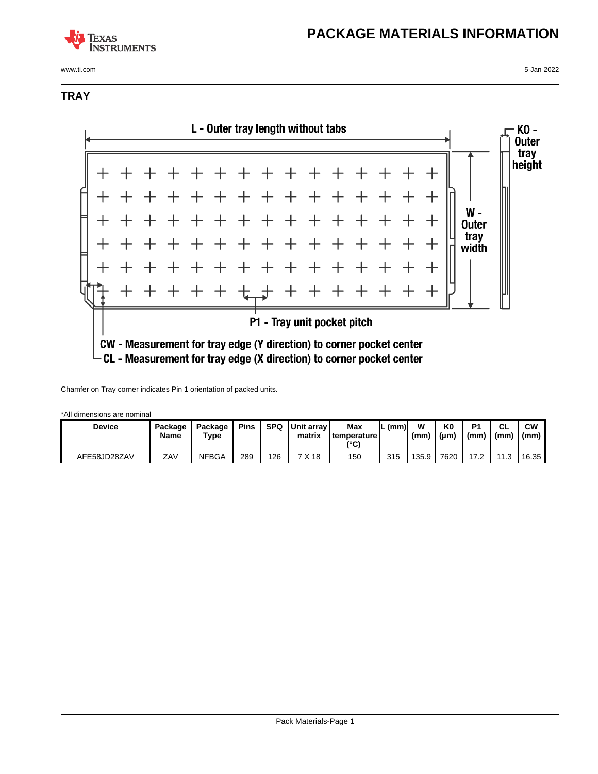# **TEXAS INSTRUMENTS**

www.ti.com 5-Jan-2022

# **PACKAGE MATERIALS INFORMATION**

## **TRAY**



Chamfer on Tray corner indicates Pin 1 orientation of packed units.

\*All dimensions are nominal

| <b>Device</b> | Package<br>Name | Package<br>Type | <b>Pins</b> | SPQ | <b>I</b> Unit arrav l<br>matrix | Max<br><b>temperature</b><br>(°C) | (mm) | w<br>(mm) | K <sub>0</sub><br>$(\mu m)$ | P <sub>1</sub><br>(mm) | <b>CL</b><br>(mm) | <b>CW</b><br>(mm) |
|---------------|-----------------|-----------------|-------------|-----|---------------------------------|-----------------------------------|------|-----------|-----------------------------|------------------------|-------------------|-------------------|
| AFE58JD28ZAV  | ZAV             | NFBGA           | 289         | 126 | 7 X 18                          | 150                               | 315  | 135.9     | 7620                        | 17.2                   | 11.3              | 16.35             |